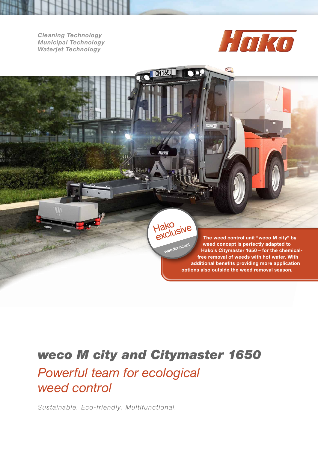*Cleaning Technology Municipal Technology Waterjet Technology*



The weed control unit "weco M city" by

Hako<br>exclusive weedconcept weed concept is perfectly adapted to Hako's Citymaster 1650 – for the chemicalfree removal of weeds with hot water. With additional benefits providing more application options also outside the weed removal season.

## *weco M city and Citymaster 1650*

 $CD$  CM 1650

Huko

## *Powerful team for ecological weed control*

*Sustainable. Eco-friendly. Multifunctional.*